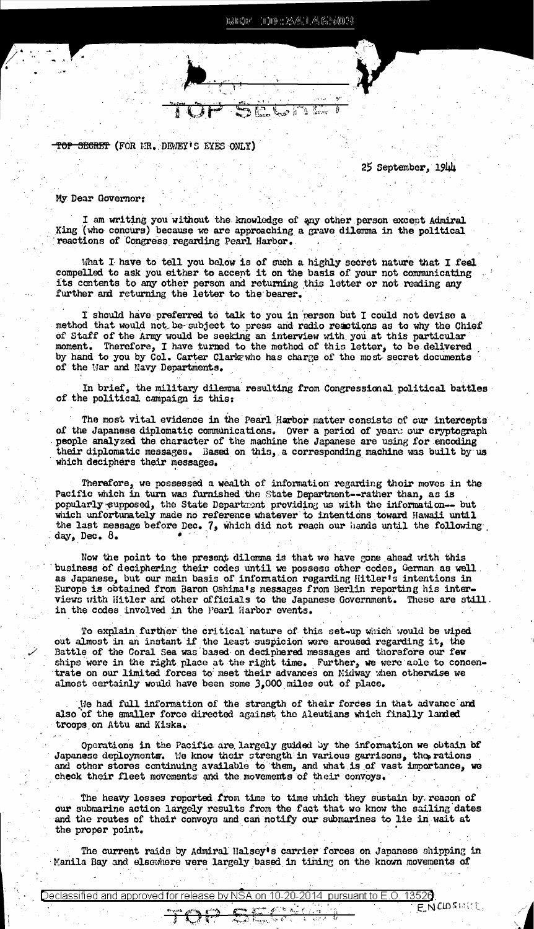ESECE IDD : AAILA659003

癌

See m

ازم سی پا

TOP SECRET (FOR MR. DEWEY'S EYES ONLY)

 $25$  September,  $1944$ 

## My Dear Governor:

I am writing you without the knowledge of any other person except Admiral King (who concurs) because we are approaching a grave dilemma in the political reactions of Congress regarding Pearl Harbor.

What I have to tell you below is of such a highly secret nature that I feel compelled to ask you either to accept it on the basis of your not communicating its contents to any other person and returning this letter or not reading any further and returning the letter to the bearer.

I should have preferred to talk to you in person but I could not devise a method that would not be subject to press and radio reactions as to why the Chief of Staff of the Army would be seeking an interview with you at this particular moment. Therefore, I have turned to the method of this letter, to be delivered by hand to you by Col. Carter Clarkewho has charge of the most secret documents of the War and Navy Departments.

In brief, the military dilemma resulting from Congressional political battles of the political campaign is this:

The most vital evidence in the Pearl Harbor matter consists of our intercents of the Japanese diplomatic communications. Over a period of years our cryptograph people analyzed the character of the machine the Japanese are using for encoding their diplomatic messages. Based on this, a corresponding machine was built by us which deciphers their messages.

Therefore, we possessed a wealth of information regarding their moves in the Pacific which in turn was furnished the State Department--rather than, as is popularly eupposed, the State Department providing us with the information-- but which unfortunately made no reference whatever to intentions toward Hawaii until the last message before Dec. 7, which did not reach our hands until the following. day, Dec. 8.

Now the point to the present dilemma is that we have gone ahead with this business of deciphering their codes until we possess other codes, German as well as Japanese, but our main basis of information regarding Hitler's intentions in Europe is obtained from Baron Oshima's messages from Berlin reporting his interviews with Hitler and other officials to the Japanese Government. These are still. in the codes involved in the Pearl Harbor events.

To explain further the critical nature of this set-up which would be wiped out almost in an instant if the least suspicion were aroused regarding it, the Battle of the Coral Sea was based on deciphered messages and thorefore our few ships were in the right place at the right time. Further, we were able to concentrate on our limited forces to meet their advances on Midway when otherwise we almost certainly would have been some 3,000 miles out of place.

We had full information of the strength of their forces in that advance and also of the smaller force directed against the Aleutians which finally landed troops on Attu and Kiska.

Operations in the Pacific are largely guided by the information we obtain of Japanese deployments. We know their strength in various garrisons, the rations and other stores continuing available to them, and what is of vast importance, we check their fleet movements and the movements of their convoys.

The heavy losses reported from time to time which they sustain by reason of our submarine action largely results from the fact that we know the sailing dates and the routes of their convoys and can notify our submarines to lie in wait at the proper point.

The current raids by Admiral Halsey's carrier forces on Japanese shipping in Manila Bay and elsewhere were largely based in timing on the known movements of

كالمنبة وجبيبة الفيتحة